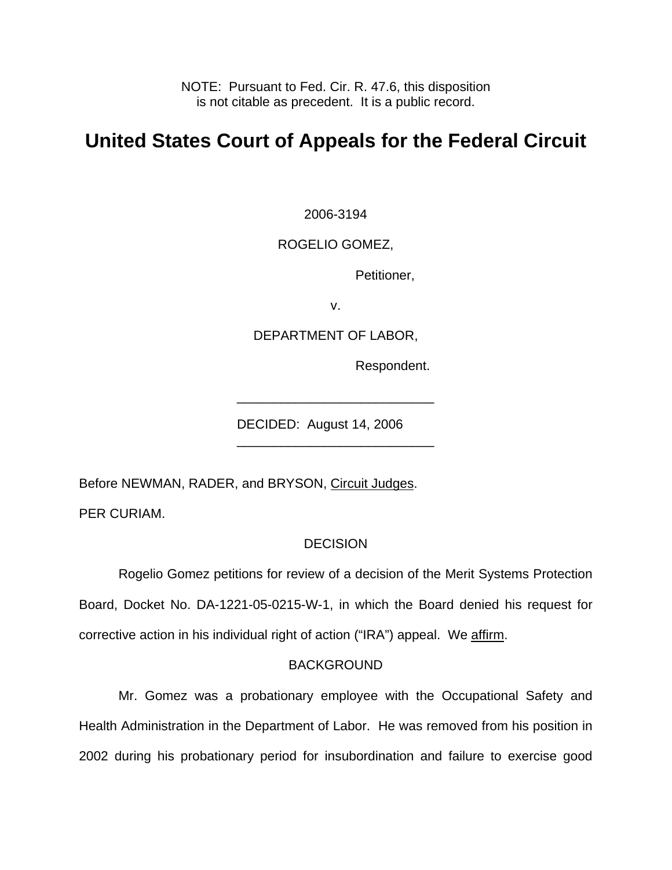NOTE: Pursuant to Fed. Cir. R. 47.6, this disposition is not citable as precedent. It is a public record.

# **United States Court of Appeals for the Federal Circuit**

2006-3194

## ROGELIO GOMEZ,

Petitioner,

v.

DEPARTMENT OF LABOR,

\_\_\_\_\_\_\_\_\_\_\_\_\_\_\_\_\_\_\_\_\_\_\_\_\_\_\_

\_\_\_\_\_\_\_\_\_\_\_\_\_\_\_\_\_\_\_\_\_\_\_\_\_\_\_

Respondent.

DECIDED: August 14, 2006

Before NEWMAN, RADER, and BRYSON, Circuit Judges.

PER CURIAM.

## **DECISION**

 Rogelio Gomez petitions for review of a decision of the Merit Systems Protection Board, Docket No. DA-1221-05-0215-W-1, in which the Board denied his request for corrective action in his individual right of action ("IRA") appeal. We affirm.

#### BACKGROUND

 Mr. Gomez was a probationary employee with the Occupational Safety and Health Administration in the Department of Labor. He was removed from his position in 2002 during his probationary period for insubordination and failure to exercise good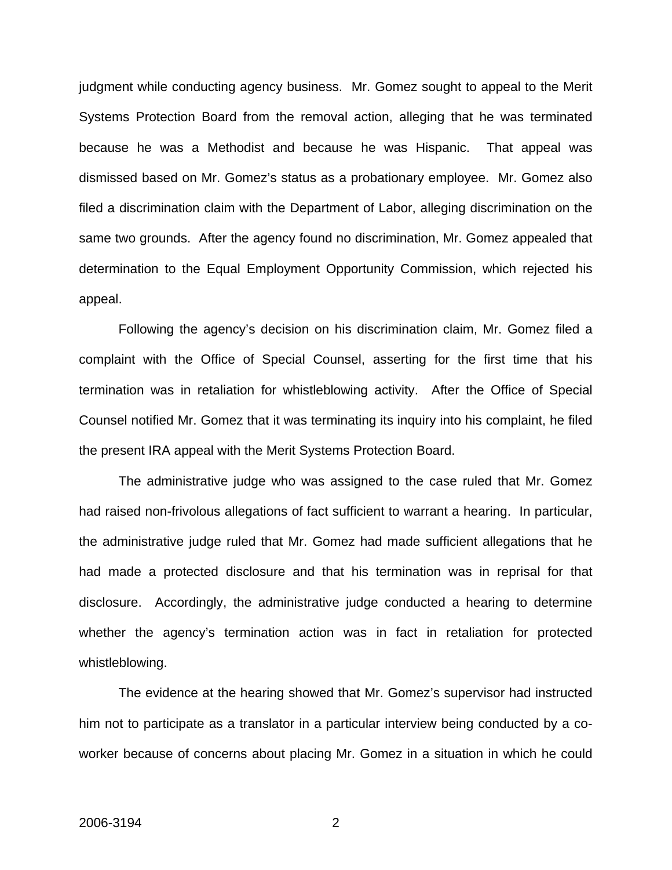judgment while conducting agency business. Mr. Gomez sought to appeal to the Merit Systems Protection Board from the removal action, alleging that he was terminated because he was a Methodist and because he was Hispanic. That appeal was dismissed based on Mr. Gomez's status as a probationary employee. Mr. Gomez also filed a discrimination claim with the Department of Labor, alleging discrimination on the same two grounds. After the agency found no discrimination, Mr. Gomez appealed that determination to the Equal Employment Opportunity Commission, which rejected his appeal.

 Following the agency's decision on his discrimination claim, Mr. Gomez filed a complaint with the Office of Special Counsel, asserting for the first time that his termination was in retaliation for whistleblowing activity. After the Office of Special Counsel notified Mr. Gomez that it was terminating its inquiry into his complaint, he filed the present IRA appeal with the Merit Systems Protection Board.

 The administrative judge who was assigned to the case ruled that Mr. Gomez had raised non-frivolous allegations of fact sufficient to warrant a hearing. In particular, the administrative judge ruled that Mr. Gomez had made sufficient allegations that he had made a protected disclosure and that his termination was in reprisal for that disclosure. Accordingly, the administrative judge conducted a hearing to determine whether the agency's termination action was in fact in retaliation for protected whistleblowing.

The evidence at the hearing showed that Mr. Gomez's supervisor had instructed him not to participate as a translator in a particular interview being conducted by a coworker because of concerns about placing Mr. Gomez in a situation in which he could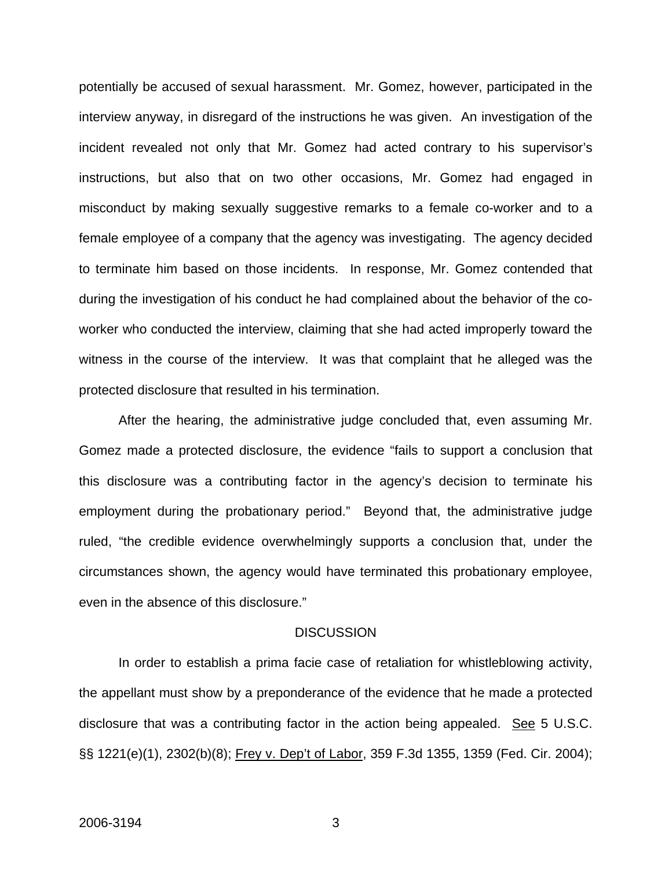potentially be accused of sexual harassment. Mr. Gomez, however, participated in the interview anyway, in disregard of the instructions he was given. An investigation of the incident revealed not only that Mr. Gomez had acted contrary to his supervisor's instructions, but also that on two other occasions, Mr. Gomez had engaged in misconduct by making sexually suggestive remarks to a female co-worker and to a female employee of a company that the agency was investigating. The agency decided to terminate him based on those incidents. In response, Mr. Gomez contended that during the investigation of his conduct he had complained about the behavior of the coworker who conducted the interview, claiming that she had acted improperly toward the witness in the course of the interview. It was that complaint that he alleged was the protected disclosure that resulted in his termination.

 After the hearing, the administrative judge concluded that, even assuming Mr. Gomez made a protected disclosure, the evidence "fails to support a conclusion that this disclosure was a contributing factor in the agency's decision to terminate his employment during the probationary period." Beyond that, the administrative judge ruled, "the credible evidence overwhelmingly supports a conclusion that, under the circumstances shown, the agency would have terminated this probationary employee, even in the absence of this disclosure."

#### **DISCUSSION**

 In order to establish a prima facie case of retaliation for whistleblowing activity, the appellant must show by a preponderance of the evidence that he made a protected disclosure that was a contributing factor in the action being appealed. See 5 U.S.C. §§ 1221(e)(1), 2302(b)(8); Frey v. Dep't of Labor, 359 F.3d 1355, 1359 (Fed. Cir. 2004);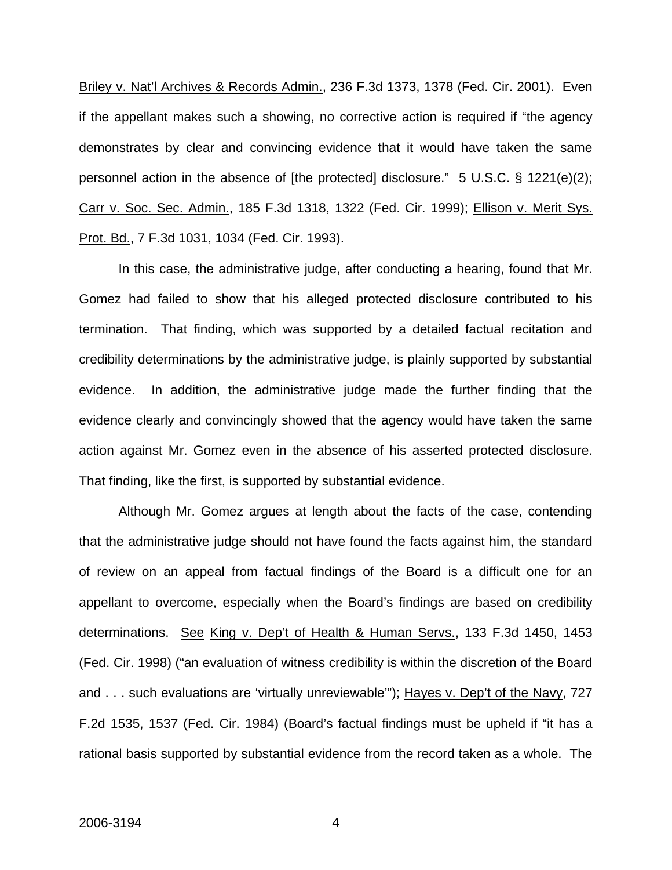Briley v. Nat'l Archives & Records Admin., 236 F.3d 1373, 1378 (Fed. Cir. 2001). Even if the appellant makes such a showing, no corrective action is required if "the agency demonstrates by clear and convincing evidence that it would have taken the same personnel action in the absence of [the protected] disclosure." 5 U.S.C. § 1221(e)(2); Carr v. Soc. Sec. Admin., 185 F.3d 1318, 1322 (Fed. Cir. 1999); Ellison v. Merit Sys. Prot. Bd., 7 F.3d 1031, 1034 (Fed. Cir. 1993).

 In this case, the administrative judge, after conducting a hearing, found that Mr. Gomez had failed to show that his alleged protected disclosure contributed to his termination. That finding, which was supported by a detailed factual recitation and credibility determinations by the administrative judge, is plainly supported by substantial evidence. In addition, the administrative judge made the further finding that the evidence clearly and convincingly showed that the agency would have taken the same action against Mr. Gomez even in the absence of his asserted protected disclosure. That finding, like the first, is supported by substantial evidence.

Although Mr. Gomez argues at length about the facts of the case, contending that the administrative judge should not have found the facts against him, the standard of review on an appeal from factual findings of the Board is a difficult one for an appellant to overcome, especially when the Board's findings are based on credibility determinations. See King v. Dep't of Health & Human Servs., 133 F.3d 1450, 1453 (Fed. Cir. 1998) ("an evaluation of witness credibility is within the discretion of the Board and . . . such evaluations are 'virtually unreviewable"); Hayes v. Dep't of the Navy, 727 F.2d 1535, 1537 (Fed. Cir. 1984) (Board's factual findings must be upheld if "it has a rational basis supported by substantial evidence from the record taken as a whole. The